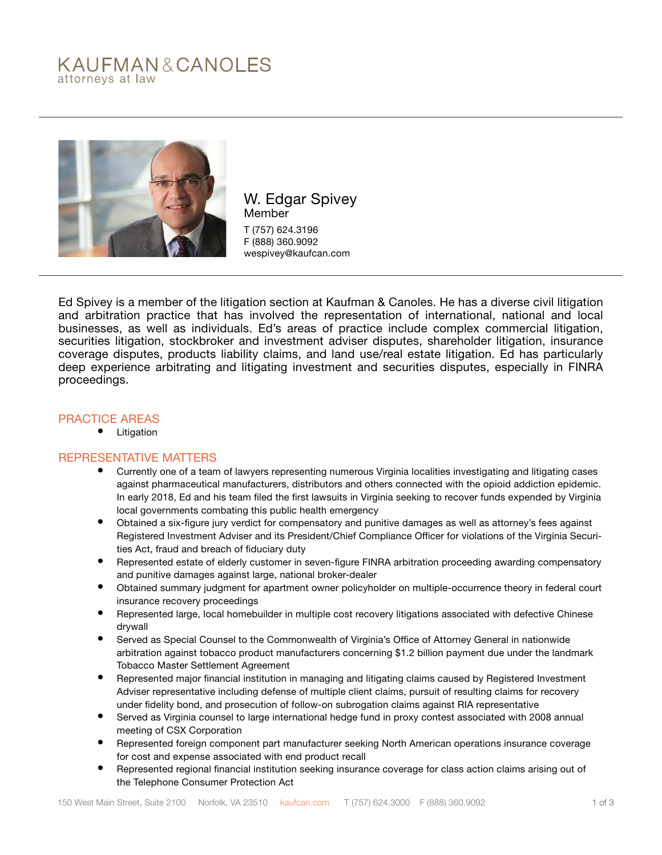# KAUFMAN&CANOLES attorneys at law



W. Edgar Spivey Member T (757) 624.3196 F (888) 360.9092 wespivey@kaufcan.com

Ed Spivey is a member of the litigation section at Kaufman & Canoles. He has a diverse civil litigation and arbitration practice that has involved the representation of international, national and local businesses, as well as individuals. Ed's areas of practice include complex commercial litigation, securities litigation, stockbroker and investment adviser disputes, shareholder litigation, insurance coverage disputes, products liability claims, and land use/real estate litigation. Ed has particularly deep experience arbitrating and litigating investment and securities disputes, especially in FINRA proceedings.

## PRACTICE AREAS

• Litigation

## REPRESENTATIVE MATTERS

- Currently one of a team of lawyers representing numerous Virginia localities investigating and litigating cases against pharmaceutical manufacturers, distributors and others connected with the opioid addiction epidemic. In early 2018, Ed and his team filed the first lawsuits in Virginia seeking to recover funds expended by Virginia local governments combating this public health emergency
- Obtained a six-figure jury verdict for compensatory and punitive damages as well as attorney's fees against Registered Investment Adviser and its President/Chief Compliance Officer for violations of the Virginia Securities Act, fraud and breach of fiduciary duty
- Represented estate of elderly customer in seven-figure FINRA arbitration proceeding awarding compensatory and punitive damages against large, national broker-dealer
- Obtained summary judgment for apartment owner policyholder on multiple-occurrence theory in federal court insurance recovery proceedings
- Represented large, local homebuilder in multiple cost recovery litigations associated with defective Chinese drywall
- Served as Special Counsel to the Commonwealth of Virginia's Office of Attorney General in nationwide arbitration against tobacco product manufacturers concerning \$1.2 billion payment due under the landmark Tobacco Master Settlement Agreement
- Represented major financial institution in managing and litigating claims caused by Registered Investment Adviser representative including defense of multiple client claims, pursuit of resulting claims for recovery under fidelity bond, and prosecution of follow-on subrogation claims against RIA representative
- Served as Virginia counsel to large international hedge fund in proxy contest associated with 2008 annual meeting of CSX Corporation
- Represented foreign component part manufacturer seeking North American operations insurance coverage for cost and expense associated with end product recall
- Represented regional financial institution seeking insurance coverage for class action claims arising out of the Telephone Consumer Protection Act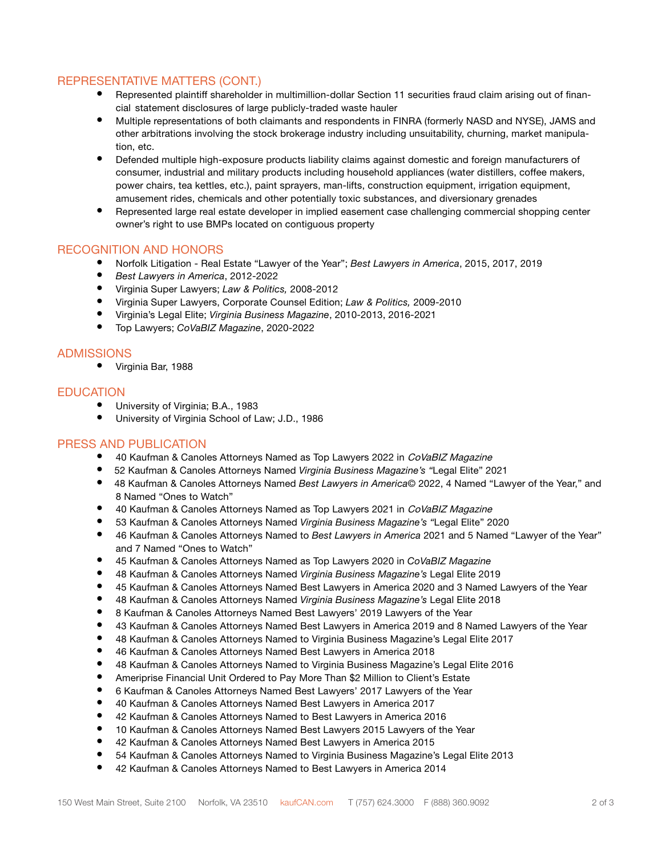# REPRESENTATIVE MATTERS (CONT.)

- Represented plaintiff shareholder in multimillion-dollar Section 11 securities fraud claim arising out of financial statement disclosures of large publicly-traded waste hauler
- Multiple representations of both claimants and respondents in FINRA (formerly NASD and NYSE), JAMS and other arbitrations involving the stock brokerage industry including unsuitability, churning, market manipulation, etc.
- Defended multiple high-exposure products liability claims against domestic and foreign manufacturers of consumer, industrial and military products including household appliances (water distillers, coffee makers, power chairs, tea kettles, etc.), paint sprayers, man-lifts, construction equipment, irrigation equipment, amusement rides, chemicals and other potentially toxic substances, and diversionary grenades
- Represented large real estate developer in implied easement case challenging commercial shopping center owner's right to use BMPs located on contiguous property

## RECOGNITION AND HONORS

- Norfolk Litigation Real Estate "Lawyer of the Year"; *Best Lawyers in America*, 2015, 2017, 2019
- *• Best Lawyers in America*, 2012-2022
- Virginia Super Lawyers; *Law & Politics,* 2008-2012
- Virginia Super Lawyers, Corporate Counsel Edition; *Law & Politics,* 2009-2010
- Virginia's Legal Elite; *Virginia Business Magazine*, 2010-2013, 2016-2021
- Top Lawyers; *CoVaBIZ Magazine*, 2020-2022

### ADMISSIONS

• Virginia Bar, 1988

# **EDUCATION**

- University of Virginia; B.A., 1983
- University of Virginia School of Law; J.D., 1986

### PRESS AND PUBLICATION

- 40 Kaufman & Canoles Attorneys Named as Top Lawyers 2022 in CoVaBIZ Magazine
- 52 Kaufman & Canoles Attorneys Named *Virginia Business Magazine's "*Legal Elite" 2021
- 48 Kaufman & Canoles Attorneys Named *Best Lawyers in America*© 2022, 4 Named "Lawyer of the Year," and 8 Named "Ones to Watch"
- 40 Kaufman & Canoles Attorneys Named as Top Lawyers 2021 in CoVaBIZ Magazine
- 53 Kaufman & Canoles Attorneys Named *Virginia Business Magazine's "*Legal Elite" 2020
- 46 Kaufman & Canoles Attorneys Named to *Best Lawyers in America* 2021 and 5 Named "Lawyer of the Year" and 7 Named "Ones to Watch"
- 45 Kaufman & Canoles Attorneys Named as Top Lawyers 2020 in *CoVaBIZ Magazine*
- 48 Kaufman & Canoles Attorneys Named *Virginia Business Magazine's* Legal Elite 2019
- 45 Kaufman & Canoles Attorneys Named Best Lawyers in America 2020 and 3 Named Lawyers of the Year
- 48 Kaufman & Canoles Attorneys Named *Virginia Business Magazine's* Legal Elite 2018
- 8 Kaufman & Canoles Attorneys Named Best Lawyers' 2019 Lawyers of the Year
- 43 Kaufman & Canoles Attorneys Named Best Lawyers in America 2019 and 8 Named Lawyers of the Year
- 48 Kaufman & Canoles Attorneys Named to Virginia Business Magazine's Legal Elite 2017
- 46 Kaufman & Canoles Attorneys Named Best Lawyers in America 2018
- 48 Kaufman & Canoles Attorneys Named to Virginia Business Magazine's Legal Elite 2016
- Ameriprise Financial Unit Ordered to Pay More Than \$2 Million to Client's Estate
- 6 Kaufman & Canoles Attorneys Named Best Lawyers' 2017 Lawyers of the Year
- 40 Kaufman & Canoles Attorneys Named Best Lawyers in America 2017
- 42 Kaufman & Canoles Attorneys Named to Best Lawyers in America 2016
- 10 Kaufman & Canoles Attorneys Named Best Lawyers 2015 Lawyers of the Year
- 42 Kaufman & Canoles Attorneys Named Best Lawyers in America 2015
- 54 Kaufman & Canoles Attorneys Named to Virginia Business Magazine's Legal Elite 2013
- 42 Kaufman & Canoles Attorneys Named to Best Lawyers in America 2014